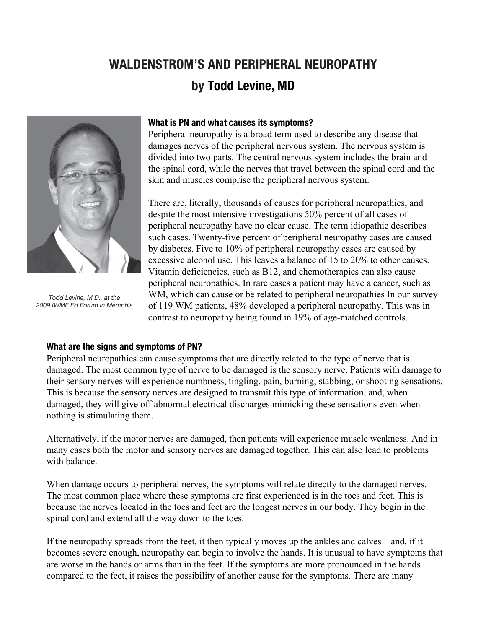# **WALDENSTROM'S AND PERIPHERAL NEUROPATHY by Todd Levine, MD**



*Todd Levine, M.D., at the 2009 IWMF Ed Forum in Memphis.*

#### **What is PN and what causes its symptoms?**

Peripheral neuropathy is a broad term used to describe any disease that damages nerves of the peripheral nervous system. The nervous system is divided into two parts. The central nervous system includes the brain and the spinal cord, while the nerves that travel between the spinal cord and the skin and muscles comprise the peripheral nervous system.

There are, literally, thousands of causes for peripheral neuropathies, and despite the most intensive investigations 50% percent of all cases of peripheral neuropathy have no clear cause. The term idiopathic describes such cases. Twenty-five percent of peripheral neuropathy cases are caused by diabetes. Five to 10% of peripheral neuropathy cases are caused by excessive alcohol use. This leaves a balance of 15 to 20% to other causes. Vitamin deficiencies, such as B12, and chemotherapies can also cause peripheral neuropathies. In rare cases a patient may have a cancer, such as WM, which can cause or be related to peripheral neuropathies In our survey of 119 WM patients, 48% developed a peripheral neuropathy. This was in contrast to neuropathy being found in 19% of age-matched controls.

#### **What are the signs and symptoms of PN?**

Peripheral neuropathies can cause symptoms that are directly related to the type of nerve that is damaged. The most common type of nerve to be damaged is the sensory nerve. Patients with damage to their sensory nerves will experience numbness, tingling, pain, burning, stabbing, or shooting sensations. This is because the sensory nerves are designed to transmit this type of information, and, when damaged, they will give off abnormal electrical discharges mimicking these sensations even when nothing is stimulating them.

Alternatively, if the motor nerves are damaged, then patients will experience muscle weakness. And in many cases both the motor and sensory nerves are damaged together. This can also lead to problems with balance

When damage occurs to peripheral nerves, the symptoms will relate directly to the damaged nerves. The most common place where these symptoms are first experienced is in the toes and feet. This is because the nerves located in the toes and feet are the longest nerves in our body. They begin in the spinal cord and extend all the way down to the toes.

If the neuropathy spreads from the feet, it then typically moves up the ankles and calves – and, if it becomes severe enough, neuropathy can begin to involve the hands. It is unusual to have symptoms that are worse in the hands or arms than in the feet. If the symptoms are more pronounced in the hands compared to the feet, it raises the possibility of another cause for the symptoms. There are many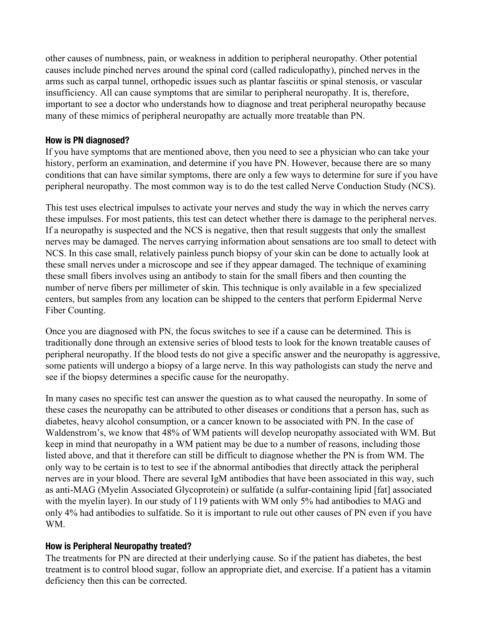other causes of numbness, pain, or weakness in addition to peripheral neuropathy. Other potential causes include pinched nerves around the spinal cord (called radiculopathy), pinched nerves in the arms such as carpal tunnel, orthopedic issues such as plantar fasciitis or spinal stenosis, or vascular insufficiency. All can cause symptoms that are similar to peripheral neuropathy. It is, therefore, important to see a doctor who understands how to diagnose and treat peripheral neuropathy because many of these mimics of peripheral neuropathy are actually more treatable than PN.

#### **How is PN diagnosed?**

If you have symptoms that are mentioned above, then you need to see a physician who can take your history, perform an examination, and determine if you have PN. However, because there are so many conditions that can have similar symptoms, there are only a few ways to determine for sure if you have peripheral neuropathy. The most common way is to do the test called Nerve Conduction Study (NCS).

This test uses electrical impulses to activate your nerves and study the way in which the nerves carry these impulses. For most patients, this test can detect whether there is damage to the peripheral nerves. If a neuropathy is suspected and the NCS is negative, then that result suggests that only the smallest nerves may be damaged. The nerves carrying information about sensations are too small to detect with NCS. In this case small, relatively painless punch biopsy of your skin can be done to actually look at these small nerves under a microscope and see if they appear damaged. The technique of examining these small fibers involves using an antibody to stain for the small fibers and then counting the number of nerve fibers per millimeter of skin. This technique is only available in a few specialized centers, but samples from any location can be shipped to the centers that perform Epidermal Nerve Fiber Counting.

Once you are diagnosed with PN, the focus switches to see if a cause can be determined. This is traditionally done through an extensive series of blood tests to look for the known treatable causes of peripheral neuropathy. If the blood tests do not give a specific answer and the neuropathy is aggressive, some patients will undergo a biopsy of a large nerve. In this way pathologists can study the nerve and see if the biopsy determines a specific cause for the neuropathy.

In many cases no specific test can answer the question as to what caused the neuropathy. In some of these cases the neuropathy can be attributed to other diseases or conditions that a person has, such as diabetes, heavy alcohol consumption, or a cancer known to be associated with PN. In the case of Waldenstrom's, we know that 48% of WM patients will develop neuropathy associated with WM. But keep in mind that neuropathy in a WM patient may be due to a number of reasons, including those listed above, and that it therefore can still be difficult to diagnose whether the PN is from WM. The only way to be certain is to test to see if the abnormal antibodies that directly attack the peripheral nerves are in your blood. There are several IgM antibodies that have been associated in this way, such as anti-MAG (Myelin Associated Glycoprot[ein\) or sulfat](http://stage-iwmf.newtarget.net/sites/default/files/docs/Torch_2014_3_August.pdf)ide (a sulfur-containing lipid [fat] associated with the myelin layer). In our study of 119 patients with WM only 5% had antibodies to MAG and only 4% had antibodies to sulfatide. So it is important to rule out other causes of PN even if you have WM.

## **How is Peripheral Neuropathy treated?**

The treatments for PN are directed at their underlying cause. So if the patient has diabetes, the best treatment is to control blood sugar, follow an appropriate diet, and exercise. If a patient has a vitamin deficiency then this can be corrected.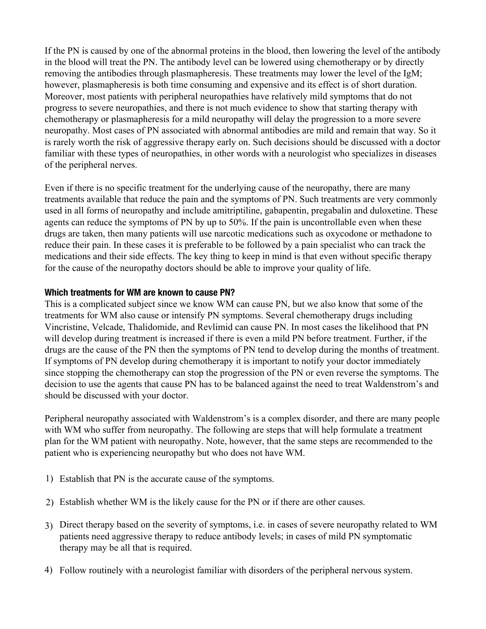If the PN is caused by one of the abnormal proteins in the blood, then lowering the level of the antibody in the blood will treat the PN. The antibody level can be lowered using chemotherapy or by directly removing the antibodies through plasmapheresis. These treatments may lower the level of the IgM; however, plasmapheresis is both time consuming and expensive and its effect is of short duration. Moreover, most patients with peripheral neuropathies have relatively mild symptoms that do not progress to severe neuropathies, and there is not much evidence to show that starting therapy with chemotherapy or plasmapheresis for a mild neuropathy will delay the progression to a more severe neuropathy. Most cases of PN associated with abnormal antibodies are mild and remain that way. So it is rarely worth the risk of aggressive therapy early on. Such decisions should be discussed with a doctor familiar with these types of neuropathies, in other words with a neurologist who specializes in diseases of the peripheral nerves.

Even if there is no specific treatment for the underlying cause of the neuropathy, there are many treatments available that reduce the pain and the symptoms of PN. Such treatments are very commonly used in all forms of neuropathy and include amitriptiline, gabapentin, pregabalin and duloxetine. These agents can reduce the symptoms of PN by up to 50%. If the pain is uncontrollable even when these drugs are taken, then many patients will use narcotic medications such as oxycodone or methadone to reduce their pain. In these cases it is preferable to be followed by a pain specialist who can track the medications and their side effects. The key thing to keep in mind is that even without specific therapy for the cause of the neuropathy doctors should be able to improve your quality of life.

## **Which treatments for WM are known to cause PN?**

This is a complicated subject since we know WM can cause PN, but we also know that some of the treatments for WM also cause or intensify PN symptoms. Several chemotherapy drugs including Vincristine, Velcade, Thalidomide, and Revlimid can cause PN. In most cases the likelihood that PN will develop during treatment is increased if there is even a mild PN before treatment. Further, if the drugs are the cause of the PN then the symptoms of PN tend to develop during the months of treatment. If symptoms of PN develop during chemotherapy it is important to notify your doctor immediately since stopping the chemotherapy can stop the progression of the PN or even reverse the symptoms. The decision to use the agents that cause PN has to be balanced against the need to treat Waldenstrom's and should be discussed with your doctor.

Peripheral neuropathy associated with Waldenst[rom's is a](http://stage-iwmf.newtarget.net/sites/default/files/docs/Torch2008-4.pdf) complex disorder, and there are many people with WM who suffer from neuropathy. The following are steps that will help formulate a treatment plan for the WM patient with neuropathy. Note, however, that the same steps are recommended to the patient who is experiencing neuropathy but who does not have WM.

- 1) Establish that PN is the accurate cause of the symptoms.
- Establish whether WM is the likely cause for the PN or if there are other causes. 2)
- Direct therapy based on the severity of symptoms, i.e. in cases of severe neuropathy related to WM 3) patients need aggressive therapy to reduce antibody levels; in cases of mild PN symptomatic therapy may be all that is required.
- Follow routinely with a neurologist familiar with disorders of the peripheral nervous system. 4)